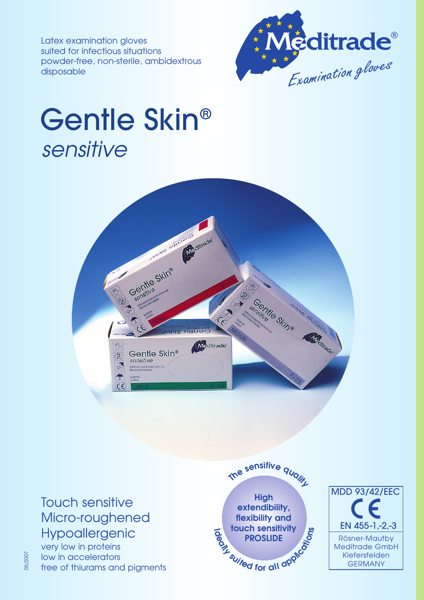Latex examination gloves suited for infectious situations powder-free, non-sterile, ambidextrous disposable



## Gentle Skin® sensitive



Touch sensitive Micro-roughened Hypoallergenic

very low in proteins low in accelerators free of thiurams and pigments

05/2007

**High extendibility, flexibility and touch sensitivity PROSLIDE Th<sup>e</sup> <sup>s</sup>ensitiv<sup>e</sup> <sup>q</sup>ualit<sup>y</sup> E**<br> **ID**<br> **ID**<br> **ID**<br> **ID**<br> **ID**<br> **ID**<br> **ID**<br> **ID**<br> **ID**<br> **ID**<br> **ID**<br> **ID**<br> **ID**<br> **ID**<br> **ID**<br> **ID**<br> **ID**<br> **ID**<br> **ID**<br> **ID**